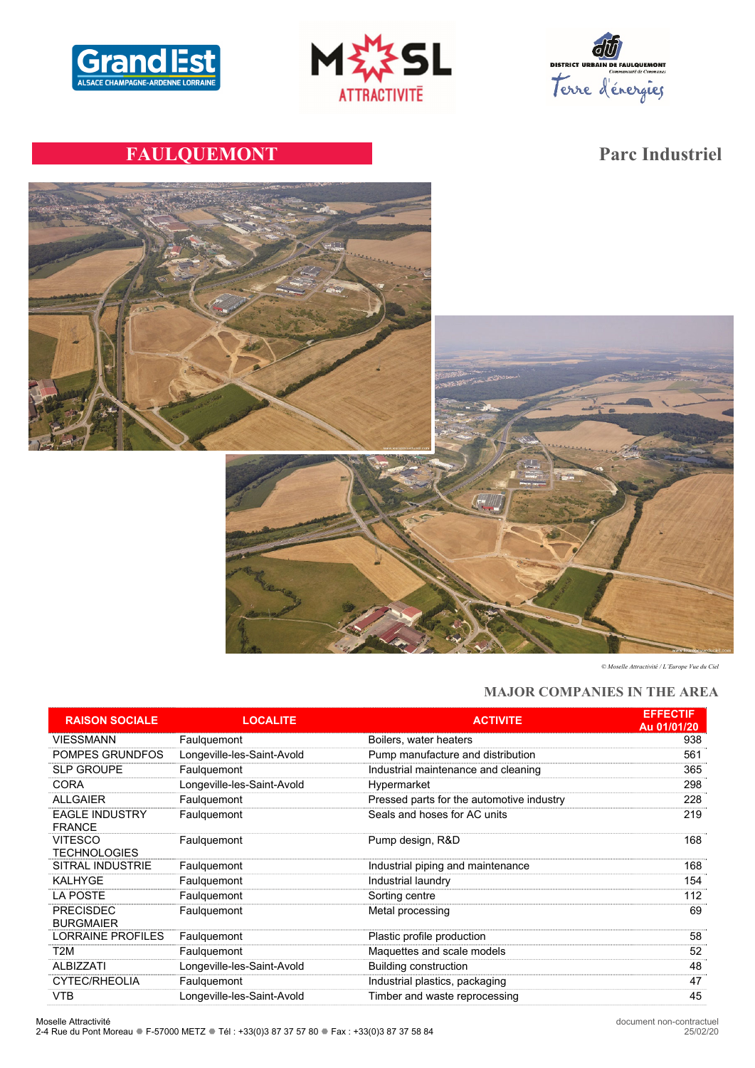





# **FAULQUEMONT Parc Industriel**



*© Moselle Attractivité / L'Europe Vue du Ciel*

# **MAJOR COMPANIES IN THE AREA**

| <b>RAISON SOCIALE</b>                  | <b>LOCALITE</b>            | <b>ACTIVITE</b>                           | <b>EFFECTIF</b><br>Au 01/01/20 |
|----------------------------------------|----------------------------|-------------------------------------------|--------------------------------|
| <b>VIESSMANN</b>                       | Faulquemont                | Boilers, water heaters                    | 938                            |
| POMPES GRUNDFOS                        | Longeville-les-Saint-Avold | Pump manufacture and distribution         | 561                            |
| <b>SLP GROUPE</b>                      | Faulquemont                | Industrial maintenance and cleaning       | 365                            |
| <b>CORA</b>                            | Longeville-les-Saint-Avold | Hypermarket                               | 298                            |
| <b>ALLGAIER</b>                        | Faulquemont                | Pressed parts for the automotive industry | 228                            |
| <b>EAGLE INDUSTRY</b><br><b>FRANCE</b> | Faulguemont                | Seals and hoses for AC units              | 219                            |
| <b>VITESCO</b><br><b>TECHNOLOGIES</b>  | Faulquemont                | Pump design, R&D                          | 168                            |
| SITRAL INDUSTRIE                       | Faulguemont                | Industrial piping and maintenance         | 168                            |
| <b>KALHYGE</b>                         | Faulquemont                | Industrial laundry                        | 154                            |
| <b>LA POSTE</b>                        | Faulquemont                | Sorting centre                            | 112                            |
| <b>PRECISDEC</b><br><b>BURGMAIER</b>   | Faulquemont                | Metal processing                          | 69                             |
| <b>LORRAINE PROFILES</b>               | Faulquemont                | Plastic profile production                | 58                             |
| T <sub>2</sub> M                       | Faulguemont                | Maquettes and scale models                | 52                             |
| <b>ALBIZZATI</b>                       | Longeville-les-Saint-Avold | <b>Building construction</b>              | 48                             |
| <b>CYTEC/RHEOLIA</b>                   | Faulguemont                | Industrial plastics, packaging            | 47                             |
| <b>VTB</b>                             | Longeville-les-Saint-Avold | Timber and waste reprocessing             | 45                             |